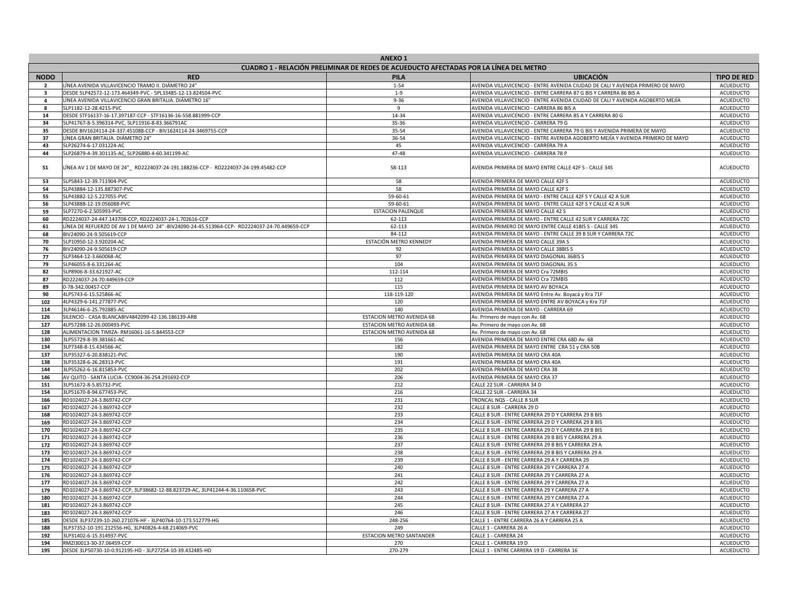| <b>ANEXO1</b><br>CUADRO 1 - RELACIÓN PRELIMINAR DE REDES DE ACUEDUCTO AFECTADAS POR LA LÍNEA DEL METRO |                                                                                                                          |                                  |                                                                                                                                                     |                                      |  |  |  |
|--------------------------------------------------------------------------------------------------------|--------------------------------------------------------------------------------------------------------------------------|----------------------------------|-----------------------------------------------------------------------------------------------------------------------------------------------------|--------------------------------------|--|--|--|
|                                                                                                        |                                                                                                                          |                                  | <b>UBICACIÓN</b>                                                                                                                                    |                                      |  |  |  |
| <b>NODO</b>                                                                                            | <b>RED</b>                                                                                                               | <b>PILA</b>                      |                                                                                                                                                     | <b>TIPO DE RED</b>                   |  |  |  |
|                                                                                                        | LÍNEA AVENIDA VILLAVICENCIO TRAMO II. DIÁMETRO 24"<br>DESDE 5LP42572-12-173.464349-PVC - 5PL33485-12-13.824504-PVC       | $1 - 54$<br>$1 - 9$              | AVENIDA VILLAVICENCIO - ENTRE AVENIDA CIUDAD DE CALI Y AVENIDA PRIMERO DE MAYO<br>AVENIDA VILLAVICENCIO - ENTRE CARRERA 87 G BIS Y CARRERA 86 BIS A | <b>ACUEDUCTO</b>                     |  |  |  |
|                                                                                                        | LÍNEA AVENIDA VILLAVICENCIO GRAN BRITALIA. DIÁMETRO 16"                                                                  | $9 - 36$                         | AVENIDA VILLAVICENCIO - ENTRE AVENIDA CIUDAD DE CALI Y AVENIDA AGOBERTO MEJÍA                                                                       | ACUEDUCTO<br><b>ACUEDUCTO</b>        |  |  |  |
|                                                                                                        | 5LP1182-12-28.4215-PVC                                                                                                   |                                  | AVENIDA VILLAVICENCIO - CARRERA 86 BIS A                                                                                                            | <b>ACUEDUCTO</b>                     |  |  |  |
|                                                                                                        | DESDE STF16137-16-17.397187-CCP - STF16136-16-558.881999-CCP                                                             | 14-34                            | AVENIDA VILLAVICENCIO - ENTRE CARRERA 85 A Y CARRERA 80 G                                                                                           | <b>ACUEDUCTO</b>                     |  |  |  |
| 34                                                                                                     | 5LP41767-8-5.396314-PVC, 5LP11916-8-83.366791AC                                                                          | 35-36                            | AVENIDA VILLAVICENCIO - CARRERA 79 G                                                                                                                | <b>ACUEDUCTO</b>                     |  |  |  |
| 35                                                                                                     | DESDE BIV1624114-24-337.451088-CCP - BIV1624114-24-3469755-CCP                                                           | 35-54                            | AVENIDA VILLAVICENCIO - ENTRE CARRERA 79 G BIS Y AVENIDA PRIMERA DE MAYO                                                                            | <b>ACUEDUCTO</b>                     |  |  |  |
| 37                                                                                                     | LÍNEA GRAN BRITALIA. DIÁMETRO 24"                                                                                        | 36-54                            | AVENIDA VILLAVICENCIO - ENTRE AVENIDA AGOBERTO MEJÍA Y AVENIDA PRIMERO DE MAYO                                                                      | <b>ACUEDUCTO</b>                     |  |  |  |
| -43                                                                                                    | 5LP26274-6-17.031224-AC                                                                                                  | 45                               | AVENIDA VILLAVICENCIO - CARRERA 79 A                                                                                                                | <b>ACUEDUCTO</b>                     |  |  |  |
| 44                                                                                                     | 5LP26879-4-39.301135-AC, 5LP26880-4-60.341199-AC                                                                         | 47-48                            | AVENIDA VILLAVICENCIO - CARRERA 78 P                                                                                                                | ACUEDUCTO                            |  |  |  |
| 51                                                                                                     | LÍNEA AV 1 DE MAYO DE 24"_ RD2224037-24-191.188236-CCP - RD2224037-24-199.45482-CCP                                      | 58-113                           | AVENIDA PRIMERA DE MAYO ENTRE CALLE 42F S - CALLE 34S                                                                                               | <b>ACUEDUCTO</b>                     |  |  |  |
| 53                                                                                                     | 5LP5843-12-39.711904-PVC                                                                                                 | 58                               | AVENIDA PRIMERA DE MAYO CALLE 42F S                                                                                                                 | <b>ACUEDUCTO</b>                     |  |  |  |
| 54                                                                                                     | 5LP43884-12-135.887307-PVC                                                                                               | 58                               | AVENIDA PRIMERA DE MAYO CALLE 42F S                                                                                                                 | <b>ACUEDUCTO</b>                     |  |  |  |
| -55                                                                                                    | 5LP43882-12-5.227055-PVC                                                                                                 | 59-60-61                         | AVENIDA PRIMERA DE MAYO - ENTRE CALLE 42F S Y CALLE 42 A SUR                                                                                        | <b>ACUEDUCTO</b>                     |  |  |  |
| 56                                                                                                     | 5LP43888-12-19.056088-PVC                                                                                                | 59-60-61                         | AVENIDA PRIMERA DE MAYO - ENTRE CALLE 42F S Y CALLE 42 A SUR                                                                                        | <b>ACUEDUCTO</b>                     |  |  |  |
| 59                                                                                                     | 5LP7270-6-2.505993-PVC                                                                                                   | <b>ESTACION PALENQUE</b>         | AVENIDA PRIMERA DE MAYO CALLE 42 S                                                                                                                  | <b>ACUEDUCTO</b>                     |  |  |  |
| 60                                                                                                     | RD2224037-24-447.143708-CCP, RD2224037-24-1.702616-CCP                                                                   | 62-113                           | AVENIDA PRIMERA DE MAYO - ENTRE CALLE 42 SUR Y CARRERA 72C                                                                                          | <b>ACUEDUCTO</b>                     |  |  |  |
| 61                                                                                                     | LÍNEA DE REFUERZO DE AV 1 DE MAYO 24" -BIV24090-24-45.513964-CCP- RD2224037-24-70.449659-CCP<br>BIV24090-24-9.505619-CCP | 62-113<br>84-112                 | AVENIDA PRIMERO DE MAYO ENTRE CALLE 41BIS S - CALLE 34S<br>AVENIDA PRIMERA DE MAYO - ENTRE CALLE 39 B SUR Y CARRERA 72C                             | <b>ACUEDUCTO</b><br><b>ACUEDUCTO</b> |  |  |  |
| 68<br>70                                                                                               | 5LP10950-12-3.920204-AC                                                                                                  | ESTACIÓN METRO KENNEDY           | AVENIDA PRIMERA DE MAYO CALLE 39A S                                                                                                                 | <b>ACUEDUCTO</b>                     |  |  |  |
| 76                                                                                                     | BIV24090-24-9.505619-CCP                                                                                                 | 92                               | AVENIDA PRIMERA DE MAYO CALLE 38BIS S                                                                                                               | <b>ACUEDUCTO</b>                     |  |  |  |
| 77                                                                                                     | 5LP3464-12-3.660068-AC                                                                                                   | 97                               | AVENIDA PRIMERA DE MAYO DIAGONAL 36BIS S                                                                                                            | <b>ACUEDUCTO</b>                     |  |  |  |
| 79                                                                                                     | 5LP46055-8-6.331264-AC                                                                                                   | 104                              | AVENIDA PRIMERA DE MAYO DIAGONAL 35 S                                                                                                               | <b>ACUEDUCTO</b>                     |  |  |  |
| 82                                                                                                     | 5LP8906-8-33.621927-AC                                                                                                   | 112-114                          | AVENIDA PRIMERA DE MAYO Cra 72MBIS                                                                                                                  | <b>ACUEDUCTO</b>                     |  |  |  |
| 87                                                                                                     | RD2224037-24-70.449659-CCP                                                                                               | 112                              | AVENIDA PRIMERA DE MAYO Cra 72MBIS                                                                                                                  | ACUEDUCTO                            |  |  |  |
| 89                                                                                                     | 0-78-342.00457-CCP                                                                                                       | 115                              | <b>AVENIDA PRIMERA DE MAYO AV BOYACA</b>                                                                                                            | <b>ACUEDUCTO</b>                     |  |  |  |
| 90                                                                                                     | 4LP5743-6-15.525866-AC                                                                                                   | 118-119-120                      | AVENIDA PRIMERA DE MAYO Entre Av. Boyacá y Kra 71F                                                                                                  | <b>ACUEDUCTO</b>                     |  |  |  |
| 102                                                                                                    | 4LP4329-6-141.277877-PVC                                                                                                 | 120                              | AVENIDA PRIMERA DE MAYO ENTRE AV BOYACA y Kra 71F                                                                                                   | <b>ACUEDUCTO</b>                     |  |  |  |
| 114                                                                                                    | 3LP46146-6-25.792885-AC                                                                                                  | 140                              | AVENIDA PRIMERA DE MAYO - CARRERA 69                                                                                                                | <b>ACUEDUCTO</b>                     |  |  |  |
| 126                                                                                                    | SILENCIO - CASA BLANCABIV4842099-42-136.186139-ARB                                                                       | <b>ESTACION METRO AVENIDA 68</b> | Av. Primero de mayo con Av. 68                                                                                                                      | <b>ACUEDUCTO</b>                     |  |  |  |
| 127                                                                                                    | 4LP57288-12-26.000493-PVC                                                                                                | <b>ESTACION METRO AVENIDA 68</b> | Av. Primero de mayo con Av. 68                                                                                                                      | <b>ACUEDUCTO</b>                     |  |  |  |
| 128                                                                                                    | ALIMENTACION TIMIZA-RM16061-16-5.844553-CCP                                                                              | <b>ESTACION METRO AVENIDA 68</b> | Av. Primero de mayo con Av. 68                                                                                                                      | <b>ACUEDUCTO</b>                     |  |  |  |
| 130                                                                                                    | 3LP55729-8-39.381661-AC                                                                                                  | 156                              | AVENIDA PRIMERA DE MAYO ENTRE CRA 68D Av. 68                                                                                                        | <b>ACUEDUCTO</b>                     |  |  |  |
| 134                                                                                                    | 3LP7348-8-15.434566-AC                                                                                                   | 182                              | AVENIDA PRIMERA DE MAYO ENTRE CRA 51 y CRA 50B                                                                                                      | <b>ACUEDUCTO</b>                     |  |  |  |
| 137                                                                                                    | 3LP35327-6-20.838121-PVC                                                                                                 | 190                              | AVENIDA PRIMERA DE MAYO CRA 40A                                                                                                                     | <b>ACUEDUCTO</b>                     |  |  |  |
| 138                                                                                                    | 3LP35328-6-26.28313-PVC                                                                                                  | 191                              | AVENIDA PRIMERA DE MAYO CRA 40A                                                                                                                     | <b>ACUEDUCTO</b>                     |  |  |  |
| 144                                                                                                    | 3LP55262-6-16.815853-PVC                                                                                                 | 202                              | AVENIDA PRIMERA DE MAYO CRA 38                                                                                                                      | <b>ACUEDUCTO</b>                     |  |  |  |
| 146                                                                                                    | AV QUITO - SANTA LUCIA- CC9004-36-254.291692-CCP                                                                         | 206                              | AVENIDA PRIMERA DE MAYO CRA 37                                                                                                                      | <b>ACUEDUCTO</b>                     |  |  |  |
| 151                                                                                                    | 3LP51672-8-5.85732-PVC                                                                                                   | 212                              | CALLE 22 SUR - CARRERA 34 D                                                                                                                         | <b>ACUEDUCTO</b>                     |  |  |  |
| 154                                                                                                    | 3LP51670-8-94.677453-PVC                                                                                                 | 216                              | CALLE 22 SUR - CARRERA 34                                                                                                                           | <b>ACUEDUCTO</b>                     |  |  |  |
| 166                                                                                                    | RD1024027-24-3.869742-CCP<br>RD1024027-24-3.869742-CCP                                                                   | 231<br>232                       | TRONCAL NQS - CALLE 8 SUR<br>CALLE 8 SUR - CARRERA 29 D                                                                                             | <b>ACUEDUCTO</b><br><b>ACUEDUCTO</b> |  |  |  |
| 167<br>168                                                                                             | RD1024027-24-3.869742-CCP                                                                                                | 233                              | CALLE 8 SUR - ENTRE CARRERA 29 D Y CARRERA 29 B BIS                                                                                                 | <b>ACUEDUCTO</b>                     |  |  |  |
| 169                                                                                                    | RD1024027-24-3.869742-CCP                                                                                                | 234                              | CALLE 8 SUR - ENTRE CARRERA 29 D Y CARRERA 29 B BIS                                                                                                 | ACUEDUCTO                            |  |  |  |
| 170                                                                                                    | RD1024027-24-3.869742-CCP                                                                                                | 235                              | CALLE 8 SUR - ENTRE CARRERA 29 D Y CARRERA 29 B BIS                                                                                                 | <b>ACUEDUCTO</b>                     |  |  |  |
| 171                                                                                                    | RD1024027-24-3.869742-CCP                                                                                                | 236                              | CALLE 8 SUR - ENTRE CARRERA 29 B BIS Y CARRERA 29 A                                                                                                 | <b>ACUEDUCTO</b>                     |  |  |  |
| 172                                                                                                    | RD1024027-24-3.869742-CCP                                                                                                | 237                              | CALLE 8 SUR - ENTRE CARRERA 29 B BIS Y CARRERA 29 A                                                                                                 | <b>ACUEDUCTO</b>                     |  |  |  |
| 173                                                                                                    | RD1024027-24-3.869742-CCP                                                                                                | 238                              | CALLE 8 SUR - ENTRE CARRERA 29 B BIS Y CARRERA 29 A                                                                                                 | <b>ACUEDUCTO</b>                     |  |  |  |
| 174                                                                                                    | RD1024027-24-3.869742-CCP                                                                                                | 239                              | CALLE 8 SUR - ENTRE CARRERA 29 A Y CARRERA 29                                                                                                       | <b>ACUEDUCTO</b>                     |  |  |  |
| 175                                                                                                    | RD1024027-24-3.869742-CCP                                                                                                | 240                              | CALLE 8 SUR - ENTRE CARRERA 29 Y CARRERA 27 A                                                                                                       | <b>ACUEDUCTO</b>                     |  |  |  |
| 176                                                                                                    | RD1024027-24-3.869742-CCP                                                                                                | 241                              | CALLE 8 SUR - ENTRE CARRERA 29 Y CARRERA 27 A                                                                                                       | <b>ACUEDUCTO</b>                     |  |  |  |
| 177                                                                                                    | RD1024027-24-3.869742-CCP                                                                                                | 242                              | CALLE 8 SUR - ENTRE CARRERA 29 Y CARRERA 27 A                                                                                                       | <b>ACUEDUCTO</b>                     |  |  |  |
| 179                                                                                                    | RD1024027-24-3.869742-CCP, 3LP38682-12-88.823729-AC, 3LP41244-4-36.110658-PVC                                            | 243                              | CALLE 8 SUR - ENTRE CARRERA 29 Y CARRERA 27 A                                                                                                       | <b>ACUEDUCTO</b>                     |  |  |  |
| 180                                                                                                    | RD1024027-24-3.869742-CCP                                                                                                | 244                              | CALLE 8 SUR - ENTRE CARRERA 29 Y CARRERA 27 A                                                                                                       | ACUEDUCTO                            |  |  |  |
| 181                                                                                                    | RD1024027-24-3.869742-CCP                                                                                                | 245                              | CALLE 8 SUR - ENTRE CARRERA 27 A Y CARRERA 27                                                                                                       | <b>ACUEDUCTO</b>                     |  |  |  |
| 183                                                                                                    | RD1024027-24-3.869742-CCP                                                                                                | 246                              | CALLE 8 SUR - ENTRE CARRERA 27 A Y CARRERA 27                                                                                                       | ACUEDUCTO                            |  |  |  |
| 185                                                                                                    | DESDE 3LP37239-10-260.271076-HF - 3LP40764-10-173.512779-HG                                                              | 248-256                          | CALLE 1 - ENTRE CARRERA 26 A Y CARRERA 25 A                                                                                                         | <b>ACUEDUCTO</b>                     |  |  |  |
| 188                                                                                                    | 3LP37352-10-191.212556-HG, 3LP40826-4-68.214069-PVC                                                                      | 249                              | CALLE 1 - CARRERA 26 A                                                                                                                              | ACUEDUCTO                            |  |  |  |
| 192                                                                                                    | 3LP31402-6-15.314937-PVC                                                                                                 | <b>ESTACION METRO SANTANDER</b>  | CALLE 1 - CARRERA 24                                                                                                                                | ACUEDUCTO                            |  |  |  |
| 194                                                                                                    | RMZI30013-30-37.06459-CCP                                                                                                | 270                              | CALLE 1 - CARRERA 19 D                                                                                                                              | ACUEDUCTO                            |  |  |  |
| 195                                                                                                    | DESDE 3LP50730-10-0.912195-HD - 3LP27254-10-39.432485-HD                                                                 | 270-279                          | CALLE 1 - ENTRE CARRERA 19 D - CARRERA 16                                                                                                           | ACUEDUCTO                            |  |  |  |